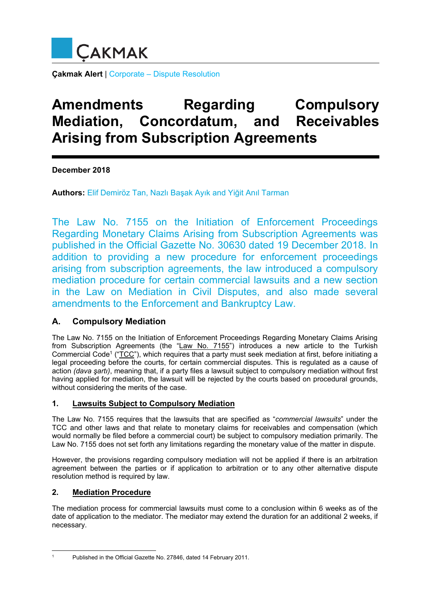

**Çakmak Alert** | Corporate – Dispute Resolution

# **Amendments Regarding Compulsory Mediation, Concordatum, and Receivables Arising from Subscription Agreements**

**December 2018** 

**Authors:** Elif Demiröz Tan, Nazlı Başak Ayık and Yiğit Anıl Tarman

The Law No. 7155 on the Initiation of Enforcement Proceedings Regarding Monetary Claims Arising from Subscription Agreements was published in the Official Gazette No. 30630 dated 19 December 2018. In addition to providing a new procedure for enforcement proceedings arising from subscription agreements, the law introduced a compulsory mediation procedure for certain commercial lawsuits and a new section in the Law on Mediation in Civil Disputes, and also made several amendments to the Enforcement and Bankruptcy Law.

## **A. Compulsory Mediation**

The Law No. 7155 on the Initiation of Enforcement Proceedings Regarding Monetary Claims Arising from Subscription Agreements (the "Law No. 7155") introduces a new article to the Turkish Commercial Code<sup>1</sup> ("TCC"), which requires that a party must seek mediation at first, before initiating a legal proceeding before the courts, for certain commercial disputes. This is regulated as a cause of action *(dava şartı)*, meaning that, if a party files a lawsuit subject to compulsory mediation without first having applied for mediation, the lawsuit will be rejected by the courts based on procedural grounds, without considering the merits of the case.

#### **1. Lawsuits Subject to Compulsory Mediation**

The Law No. 7155 requires that the lawsuits that are specified as "*commercial lawsuits*" under the TCC and other laws and that relate to monetary claims for receivables and compensation (which would normally be filed before a commercial court) be subject to compulsory mediation primarily. The Law No. 7155 does not set forth any limitations regarding the monetary value of the matter in dispute.

However, the provisions regarding compulsory mediation will not be applied if there is an arbitration agreement between the parties or if application to arbitration or to any other alternative dispute resolution method is required by law.

## **2. Mediation Procedure**

The mediation process for commercial lawsuits must come to a conclusion within 6 weeks as of the date of application to the mediator. The mediator may extend the duration for an additional 2 weeks, if necessary.

<sup>1</sup> Published in the Official Gazette No. 27846, dated 14 February 2011.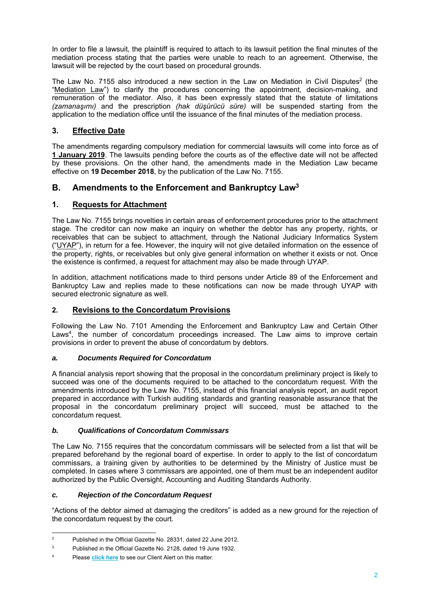In order to file a lawsuit, the plaintiff is required to attach to its lawsuit petition the final minutes of the mediation process stating that the parties were unable to reach to an agreement. Otherwise, the lawsuit will be rejected by the court based on procedural grounds.

The Law No. 7155 also introduced a new section in the Law on Mediation in Civil Disputes<sup>2</sup> (the "Mediation Law") to clarify the procedures concerning the appointment, decision-making, and remuneration of the mediator. Also, it has been expressly stated that the statute of limitations *(zamanaşımı)* and the prescription *(hak düşürücü süre)* will be suspended starting from the application to the mediation office until the issuance of the final minutes of the mediation process.

## **3. Effective Date**

The amendments regarding compulsory mediation for commercial lawsuits will come into force as of **1 January 2019**. The lawsuits pending before the courts as of the effective date will not be affected by these provisions. On the other hand, the amendments made in the Mediation Law became effective on **19 December 2018**, by the publication of the Law No. 7155.

# **B. Amendments to the Enforcement and Bankruptcy Law<sup>3</sup>**

#### **1. Requests for Attachment**

The Law No. 7155 brings novelties in certain areas of enforcement procedures prior to the attachment stage. The creditor can now make an inquiry on whether the debtor has any property, rights, or receivables that can be subject to attachment, through the National Judiciary Informatics System ("UYAP"), in return for a fee. However, the inquiry will not give detailed information on the essence of the property, rights, or receivables but only give general information on whether it exists or not. Once the existence is confirmed, a request for attachment may also be made through UYAP.

In addition, attachment notifications made to third persons under Article 89 of the Enforcement and Bankruptcy Law and replies made to these notifications can now be made through UYAP with secured electronic signature as well.

#### **2. Revisions to the Concordatum Provisions**

Following the Law No. 7101 Amending the Enforcement and Bankruptcy Law and Certain Other Laws<sup>4</sup>, the number of concordatum proceedings increased. The Law aims to improve certain provisions in order to prevent the abuse of concordatum by debtors.

#### *a. Documents Required for Concordatum*

A financial analysis report showing that the proposal in the concordatum preliminary project is likely to succeed was one of the documents required to be attached to the concordatum request. With the amendments introduced by the Law No. 7155, instead of this financial analysis report, an audit report prepared in accordance with Turkish auditing standards and granting reasonable assurance that the proposal in the concordatum preliminary project will succeed, must be attached to the concordatum request.

#### *b. Qualifications of Concordatum Commissars*

The Law No. 7155 requires that the concordatum commissars will be selected from a list that will be prepared beforehand by the regional board of expertise. In order to apply to the list of concordatum commissars, a training given by authorities to be determined by the Ministry of Justice must be completed. In cases where 3 commissars are appointed, one of them must be an independent auditor authorized by the Public Oversight, Accounting and Auditing Standards Authority.

#### *c. Rejection of the Concordatum Request*

"Actions of the debtor aimed at damaging the creditors" is added as a new ground for the rejection of the concordatum request by the court.

 $\overline{2}$ Published in the Official Gazette No. 28331, dated 22 June 2012.

<sup>3</sup> Published in the Official Gazette No. 2128, dated 19 June 1932.

<sup>4</sup> Please **[click here](http://www.cakmak.av.tr/articles/Dispute_Resolution/AmendmentsEnforcementBankruptcyLaw.pdf)** to see our Client Alert on this matter.